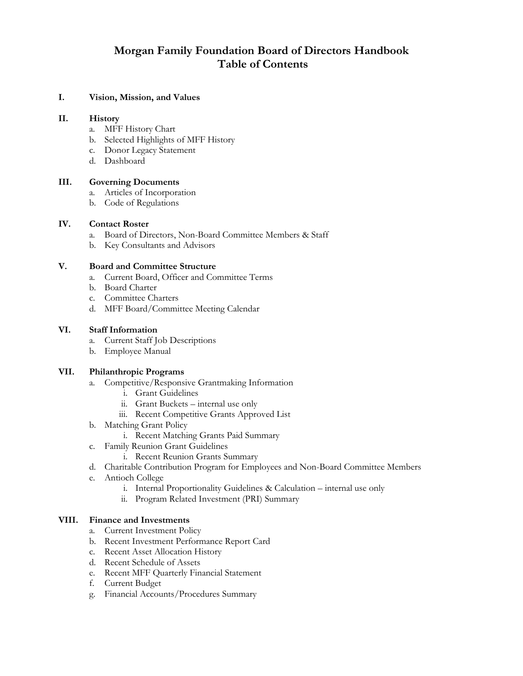# **Morgan Family Foundation Board of Directors Handbook Table of Contents**

## **I. Vision, Mission, and Values**

#### **II. History**

- a. MFF History Chart
- b. Selected Highlights of MFF History
- c. Donor Legacy Statement
- d. Dashboard

## **III. Governing Documents**

- a. Articles of Incorporation
- b. Code of Regulations

#### **IV. Contact Roster**

- a. Board of Directors, Non-Board Committee Members & Staff
- b. Key Consultants and Advisors

#### **V. Board and Committee Structure**

- a. Current Board, Officer and Committee Terms
- b. Board Charter
- c. Committee Charters
- d. MFF Board/Committee Meeting Calendar

## **VI. Staff Information**

- a. Current Staff Job Descriptions
- b. Employee Manual

## **VII. Philanthropic Programs**

- a. Competitive/Responsive Grantmaking Information
	- i. Grant Guidelines
	- ii. Grant Buckets internal use only
	- iii. Recent Competitive Grants Approved List
- b. Matching Grant Policy
	- i. Recent Matching Grants Paid Summary
- c. Family Reunion Grant Guidelines
	- i. Recent Reunion Grants Summary
- d. Charitable Contribution Program for Employees and Non-Board Committee Members
- e. Antioch College
	- i. Internal Proportionality Guidelines & Calculation internal use only
	- ii. Program Related Investment (PRI) Summary

#### **VIII. Finance and Investments**

- a. Current Investment Policy
- b. Recent Investment Performance Report Card
- c. Recent Asset Allocation History
- d. Recent Schedule of Assets
- e. Recent MFF Quarterly Financial Statement
- f. Current Budget
- g. Financial Accounts/Procedures Summary